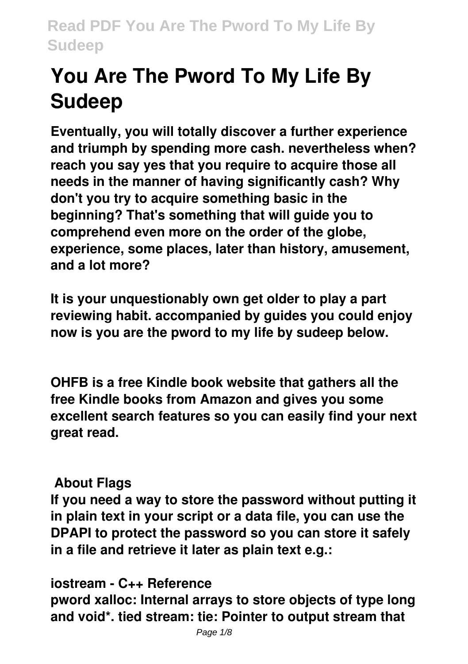# **You Are The Pword To My Life By Sudeep**

**Eventually, you will totally discover a further experience and triumph by spending more cash. nevertheless when? reach you say yes that you require to acquire those all needs in the manner of having significantly cash? Why don't you try to acquire something basic in the beginning? That's something that will guide you to comprehend even more on the order of the globe, experience, some places, later than history, amusement, and a lot more?**

**It is your unquestionably own get older to play a part reviewing habit. accompanied by guides you could enjoy now is you are the pword to my life by sudeep below.**

**OHFB is a free Kindle book website that gathers all the free Kindle books from Amazon and gives you some excellent search features so you can easily find your next great read.**

### **About Flags**

**If you need a way to store the password without putting it in plain text in your script or a data file, you can use the DPAPI to protect the password so you can store it safely in a file and retrieve it later as plain text e.g.:**

#### **iostream - C++ Reference**

**pword xalloc: Internal arrays to store objects of type long and void\*. tied stream: tie: Pointer to output stream that**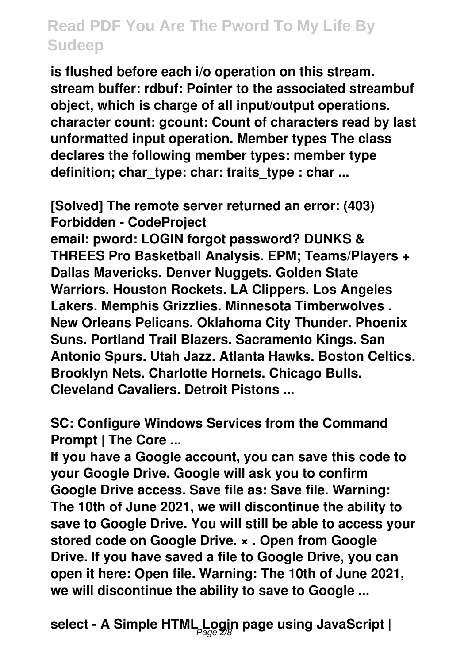**is flushed before each i/o operation on this stream. stream buffer: rdbuf: Pointer to the associated streambuf object, which is charge of all input/output operations. character count: gcount: Count of characters read by last unformatted input operation. Member types The class declares the following member types: member type** definition; char\_type: char: traits\_type : char ...

**[Solved] The remote server returned an error: (403) Forbidden - CodeProject email: pword: LOGIN forgot password? DUNKS & THREES Pro Basketball Analysis. EPM; Teams/Players + Dallas Mavericks. Denver Nuggets. Golden State Warriors. Houston Rockets. LA Clippers. Los Angeles Lakers. Memphis Grizzlies. Minnesota Timberwolves . New Orleans Pelicans. Oklahoma City Thunder. Phoenix Suns. Portland Trail Blazers. Sacramento Kings. San Antonio Spurs. Utah Jazz. Atlanta Hawks. Boston Celtics. Brooklyn Nets. Charlotte Hornets. Chicago Bulls. Cleveland Cavaliers. Detroit Pistons ...**

**SC: Configure Windows Services from the Command Prompt | The Core ...**

**If you have a Google account, you can save this code to your Google Drive. Google will ask you to confirm Google Drive access. Save file as: Save file. Warning: The 10th of June 2021, we will discontinue the ability to save to Google Drive. You will still be able to access your stored code on Google Drive. × . Open from Google Drive. If you have saved a file to Google Drive, you can open it here: Open file. Warning: The 10th of June 2021, we will discontinue the ability to save to Google ...**

**select - A Simple HTML Login page using JavaScript |** Page 2/8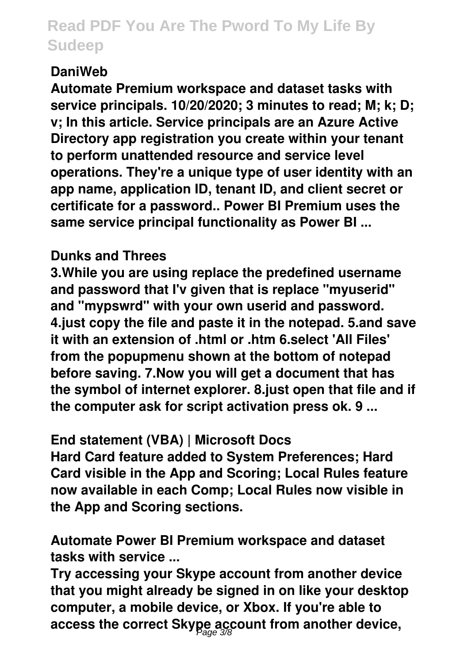### **DaniWeb**

**Automate Premium workspace and dataset tasks with service principals. 10/20/2020; 3 minutes to read; M; k; D; v; In this article. Service principals are an Azure Active Directory app registration you create within your tenant to perform unattended resource and service level operations. They're a unique type of user identity with an app name, application ID, tenant ID, and client secret or certificate for a password.. Power BI Premium uses the same service principal functionality as Power BI ...**

### **Dunks and Threes**

**3.While you are using replace the predefined username and password that I'v given that is replace "myuserid" and "mypswrd" with your own userid and password. 4.just copy the file and paste it in the notepad. 5.and save it with an extension of .html or .htm 6.select 'All Files' from the popupmenu shown at the bottom of notepad before saving. 7.Now you will get a document that has the symbol of internet explorer. 8.just open that file and if the computer ask for script activation press ok. 9 ...**

### **End statement (VBA) | Microsoft Docs**

**Hard Card feature added to System Preferences; Hard Card visible in the App and Scoring; Local Rules feature now available in each Comp; Local Rules now visible in the App and Scoring sections.**

**Automate Power BI Premium workspace and dataset tasks with service ...**

**Try accessing your Skype account from another device that you might already be signed in on like your desktop computer, a mobile device, or Xbox. If you're able to access the correct Skype account from another device,** Page 3/8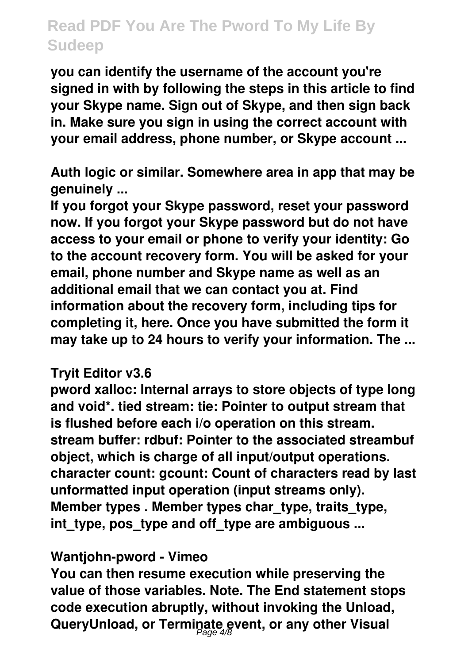**you can identify the username of the account you're signed in with by following the steps in this article to find your Skype name. Sign out of Skype, and then sign back in. Make sure you sign in using the correct account with your email address, phone number, or Skype account ...**

**Auth logic or similar. Somewhere area in app that may be genuinely ...**

**If you forgot your Skype password, reset your password now. If you forgot your Skype password but do not have access to your email or phone to verify your identity: Go to the account recovery form. You will be asked for your email, phone number and Skype name as well as an additional email that we can contact you at. Find information about the recovery form, including tips for completing it, here. Once you have submitted the form it may take up to 24 hours to verify your information. The ...**

#### **Tryit Editor v3.6**

**pword xalloc: Internal arrays to store objects of type long and void\*. tied stream: tie: Pointer to output stream that is flushed before each i/o operation on this stream. stream buffer: rdbuf: Pointer to the associated streambuf object, which is charge of all input/output operations. character count: gcount: Count of characters read by last unformatted input operation (input streams only). Member types . Member types char\_type, traits\_type, int\_type, pos\_type and off\_type are ambiguous ...**

#### **Wantjohn-pword - Vimeo**

**You can then resume execution while preserving the value of those variables. Note. The End statement stops code execution abruptly, without invoking the Unload, QueryUnload, or Terminate event, or any other Visual** Page 4/8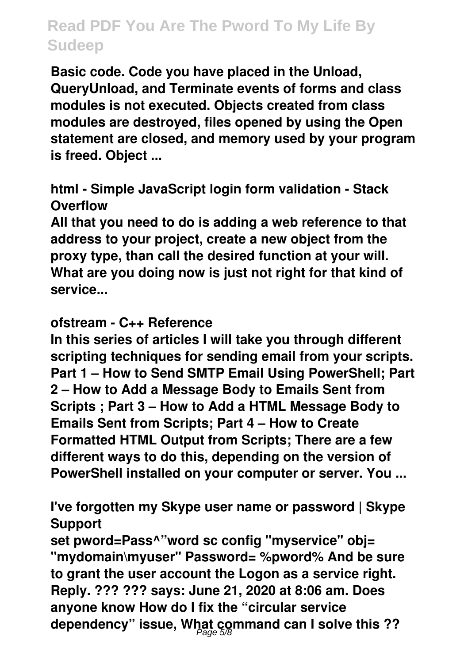**Basic code. Code you have placed in the Unload, QueryUnload, and Terminate events of forms and class modules is not executed. Objects created from class modules are destroyed, files opened by using the Open statement are closed, and memory used by your program is freed. Object ...**

**html - Simple JavaScript login form validation - Stack Overflow**

**All that you need to do is adding a web reference to that address to your project, create a new object from the proxy type, than call the desired function at your will. What are you doing now is just not right for that kind of service...**

#### **ofstream - C++ Reference**

**In this series of articles I will take you through different scripting techniques for sending email from your scripts. Part 1 – How to Send SMTP Email Using PowerShell; Part 2 – How to Add a Message Body to Emails Sent from Scripts ; Part 3 – How to Add a HTML Message Body to Emails Sent from Scripts; Part 4 – How to Create Formatted HTML Output from Scripts; There are a few different ways to do this, depending on the version of PowerShell installed on your computer or server. You ...**

**I've forgotten my Skype user name or password | Skype Support**

**set pword=Pass^"word sc config "myservice" obj= "mydomain\myuser" Password= %pword% And be sure to grant the user account the Logon as a service right. Reply. ??? ??? says: June 21, 2020 at 8:06 am. Does anyone know How do I fix the "circular service dependency" issue, What command can I solve this ??** Page 5/8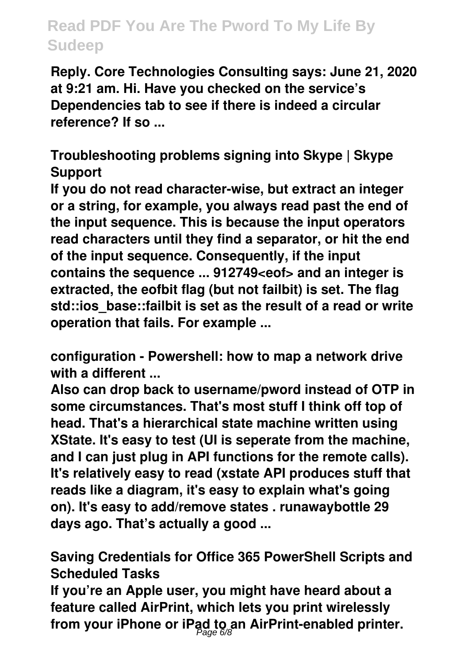**Reply. Core Technologies Consulting says: June 21, 2020 at 9:21 am. Hi. Have you checked on the service's Dependencies tab to see if there is indeed a circular reference? If so ...**

**Troubleshooting problems signing into Skype | Skype Support**

**If you do not read character-wise, but extract an integer or a string, for example, you always read past the end of the input sequence. This is because the input operators read characters until they find a separator, or hit the end of the input sequence. Consequently, if the input contains the sequence ... 912749<eof> and an integer is extracted, the eofbit flag (but not failbit) is set. The flag std::ios\_base::failbit is set as the result of a read or write operation that fails. For example ...**

**configuration - Powershell: how to map a network drive with a different ...**

**Also can drop back to username/pword instead of OTP in some circumstances. That's most stuff I think off top of head. That's a hierarchical state machine written using XState. It's easy to test (UI is seperate from the machine, and I can just plug in API functions for the remote calls). It's relatively easy to read (xstate API produces stuff that reads like a diagram, it's easy to explain what's going on). It's easy to add/remove states . runawaybottle 29 days ago. That's actually a good ...**

**Saving Credentials for Office 365 PowerShell Scripts and Scheduled Tasks**

**If you're an Apple user, you might have heard about a feature called AirPrint, which lets you print wirelessly from your iPhone or iPad to an AirPrint-enabled printer.** Page 6/8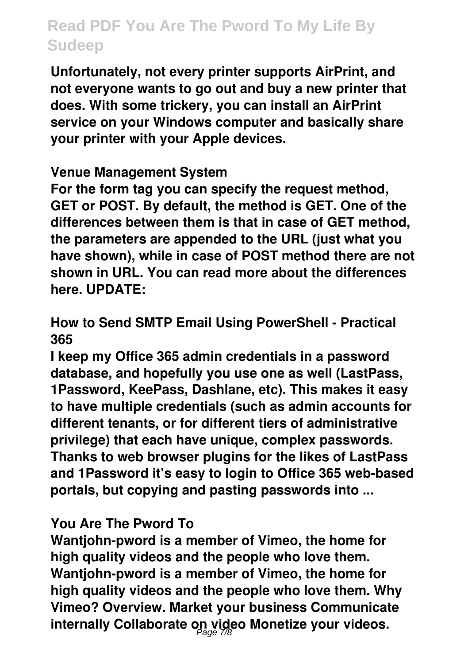**Unfortunately, not every printer supports AirPrint, and not everyone wants to go out and buy a new printer that does. With some trickery, you can install an AirPrint service on your Windows computer and basically share your printer with your Apple devices.**

### **Venue Management System**

**For the form tag you can specify the request method, GET or POST. By default, the method is GET. One of the differences between them is that in case of GET method, the parameters are appended to the URL (just what you have shown), while in case of POST method there are not shown in URL. You can read more about the differences here. UPDATE:**

**How to Send SMTP Email Using PowerShell - Practical 365**

**I keep my Office 365 admin credentials in a password database, and hopefully you use one as well (LastPass, 1Password, KeePass, Dashlane, etc). This makes it easy to have multiple credentials (such as admin accounts for different tenants, or for different tiers of administrative privilege) that each have unique, complex passwords. Thanks to web browser plugins for the likes of LastPass and 1Password it's easy to login to Office 365 web-based portals, but copying and pasting passwords into ...**

### **You Are The Pword To**

**Wantjohn-pword is a member of Vimeo, the home for high quality videos and the people who love them. Wantjohn-pword is a member of Vimeo, the home for high quality videos and the people who love them. Why Vimeo? Overview. Market your business Communicate internally Collaborate on video Monetize your videos.** Page 7/8